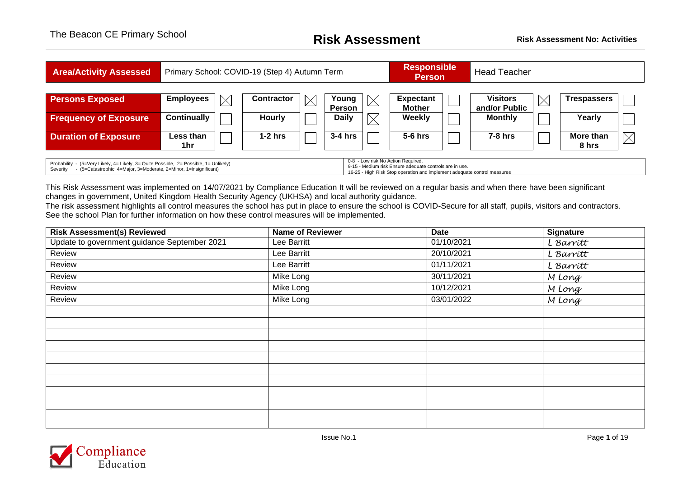| <b>Area/Activity Assessed</b>                                                                                                                                                                                                                                                                                                                       | Primary School: COVID-19 (Step 4) Autumn Term |             |            |             |                        |  | <b>Responsible</b><br><b>Person</b> |  | <b>Head Teacher</b>              |             |                    |             |
|-----------------------------------------------------------------------------------------------------------------------------------------------------------------------------------------------------------------------------------------------------------------------------------------------------------------------------------------------------|-----------------------------------------------|-------------|------------|-------------|------------------------|--|-------------------------------------|--|----------------------------------|-------------|--------------------|-------------|
| <b>Persons Exposed</b>                                                                                                                                                                                                                                                                                                                              | <b>Employees</b>                              | $\boxtimes$ | Contractor | $\boxtimes$ | Young<br><b>Person</b> |  | <b>Expectant</b><br><b>Mother</b>   |  | <b>Visitors</b><br>and/or Public | $\boxtimes$ | <b>Trespassers</b> |             |
| <b>Frequency of Exposure</b>                                                                                                                                                                                                                                                                                                                        | <b>Continually</b>                            |             | Hourly     |             | <b>Daily</b>           |  | <b>Weekly</b>                       |  | <b>Monthly</b>                   |             | Yearly             |             |
| <b>Duration of Exposure</b>                                                                                                                                                                                                                                                                                                                         | Less than<br>1hr                              |             | $1-2$ hrs  |             | $3-4$ hrs              |  | $5-6$ hrs                           |  | $7-8$ hrs                        |             | More than<br>8 hrs | $\boxtimes$ |
| 0-8 - Low risk No Action Required.<br>Probability - (5=Very Likely, 4= Likely, 3= Quite Possible, 2= Possible, 1= Unlikely)<br>9-15 - Medium risk Ensure adequate controls are in use.<br>- (5=Catastrophic, 4=Major, 3=Moderate, 2=Minor, 1=Insignificant)<br>Severity<br>16-25 - High Risk Stop operation and implement adequate control measures |                                               |             |            |             |                        |  |                                     |  |                                  |             |                    |             |

This Risk Assessment was implemented on 14/07/2021 by Compliance Education It will be reviewed on a regular basis and when there have been significant changes in government, United Kingdom Health Security Agency (UKHSA) and local authority guidance.

The risk assessment highlights all control measures the school has put in place to ensure the school is COVID-Secure for all staff, pupils, visitors and contractors. See the school Plan for further information on how these control measures will be implemented.

| <b>Risk Assessment(s) Reviewed</b>           | <b>Name of Reviewer</b> | <b>Date</b> | <b>Signature</b> |
|----------------------------------------------|-------------------------|-------------|------------------|
| Update to government guidance September 2021 | Lee Barritt             | 01/10/2021  | L Barritt        |
| Review                                       | Lee Barritt             | 20/10/2021  | L Barrítt        |
| Review                                       | Lee Barritt             | 01/11/2021  | L Barritt        |
| Review                                       | Mike Long               | 30/11/2021  | M Long           |
| Review                                       | Mike Long               | 10/12/2021  | M Long           |
| Review                                       | Mike Long               | 03/01/2022  | M Long           |
|                                              |                         |             |                  |
|                                              |                         |             |                  |
|                                              |                         |             |                  |
|                                              |                         |             |                  |
|                                              |                         |             |                  |
|                                              |                         |             |                  |
|                                              |                         |             |                  |
|                                              |                         |             |                  |
|                                              |                         |             |                  |
|                                              |                         |             |                  |
|                                              |                         |             |                  |

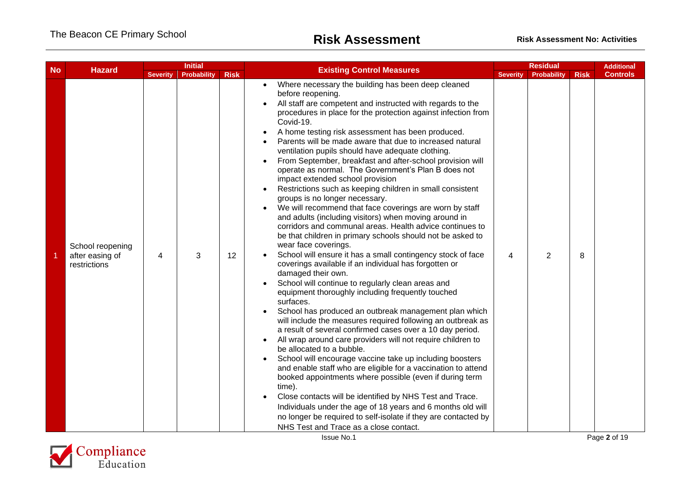| <b>Hazard</b><br><b>No</b> |                                                     | <b>Initial</b>  |             |             | <b>Existing Control Measures</b>                                                                                                                                                                                                                                                                                                                                                                                                                                                                                                                                                                                                                                                                                                                                                                                                                                                                                                                                                                                                                                                                                                                                                                                                                                                                                                                                                                                                                                                                                                                                                                                                                                                                                                                                                                                                                                                                                      |                 | <b>Residual</b>    |             |                 | <b>Additional</b> |
|----------------------------|-----------------------------------------------------|-----------------|-------------|-------------|-----------------------------------------------------------------------------------------------------------------------------------------------------------------------------------------------------------------------------------------------------------------------------------------------------------------------------------------------------------------------------------------------------------------------------------------------------------------------------------------------------------------------------------------------------------------------------------------------------------------------------------------------------------------------------------------------------------------------------------------------------------------------------------------------------------------------------------------------------------------------------------------------------------------------------------------------------------------------------------------------------------------------------------------------------------------------------------------------------------------------------------------------------------------------------------------------------------------------------------------------------------------------------------------------------------------------------------------------------------------------------------------------------------------------------------------------------------------------------------------------------------------------------------------------------------------------------------------------------------------------------------------------------------------------------------------------------------------------------------------------------------------------------------------------------------------------------------------------------------------------------------------------------------------------|-----------------|--------------------|-------------|-----------------|-------------------|
|                            |                                                     | <b>Severity</b> | Probability | <b>Risk</b> |                                                                                                                                                                                                                                                                                                                                                                                                                                                                                                                                                                                                                                                                                                                                                                                                                                                                                                                                                                                                                                                                                                                                                                                                                                                                                                                                                                                                                                                                                                                                                                                                                                                                                                                                                                                                                                                                                                                       | <b>Severity</b> | <b>Probability</b> | <b>Risk</b> | <b>Controls</b> |                   |
|                            | School reopening<br>after easing of<br>restrictions | 4               | 3           | 12          | Where necessary the building has been deep cleaned<br>before reopening.<br>All staff are competent and instructed with regards to the<br>procedures in place for the protection against infection from<br>Covid-19.<br>A home testing risk assessment has been produced.<br>Parents will be made aware that due to increased natural<br>ventilation pupils should have adequate clothing.<br>From September, breakfast and after-school provision will<br>operate as normal. The Government's Plan B does not<br>impact extended school provision<br>Restrictions such as keeping children in small consistent<br>groups is no longer necessary.<br>We will recommend that face coverings are worn by staff<br>and adults (including visitors) when moving around in<br>corridors and communal areas. Health advice continues to<br>be that children in primary schools should not be asked to<br>wear face coverings.<br>School will ensure it has a small contingency stock of face<br>coverings available if an individual has forgotten or<br>damaged their own.<br>School will continue to regularly clean areas and<br>equipment thoroughly including frequently touched<br>surfaces.<br>School has produced an outbreak management plan which<br>will include the measures required following an outbreak as<br>a result of several confirmed cases over a 10 day period.<br>All wrap around care providers will not require children to<br>be allocated to a bubble.<br>School will encourage vaccine take up including boosters<br>and enable staff who are eligible for a vaccination to attend<br>booked appointments where possible (even if during term<br>time).<br>Close contacts will be identified by NHS Test and Trace.<br>Individuals under the age of 18 years and 6 months old will<br>no longer be required to self-isolate if they are contacted by<br>NHS Test and Trace as a close contact. | 4               | 2                  | 8           |                 |                   |

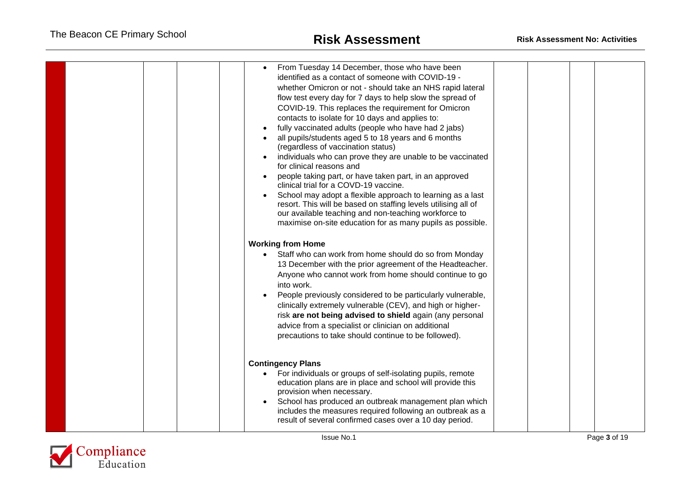| From Tuesday 14 December, those who have been<br>identified as a contact of someone with COVID-19 -<br>whether Omicron or not - should take an NHS rapid lateral<br>flow test every day for 7 days to help slow the spread of<br>COVID-19. This replaces the requirement for Omicron<br>contacts to isolate for 10 days and applies to:<br>fully vaccinated adults (people who have had 2 jabs)<br>all pupils/students aged 5 to 18 years and 6 months<br>(regardless of vaccination status)<br>individuals who can prove they are unable to be vaccinated<br>for clinical reasons and<br>people taking part, or have taken part, in an approved<br>clinical trial for a COVD-19 vaccine.<br>School may adopt a flexible approach to learning as a last<br>resort. This will be based on staffing levels utilising all of<br>our available teaching and non-teaching workforce to<br>maximise on-site education for as many pupils as possible.<br><b>Working from Home</b><br>Staff who can work from home should do so from Monday<br>13 December with the prior agreement of the Headteacher.<br>Anyone who cannot work from home should continue to go<br>into work.<br>People previously considered to be particularly vulnerable,<br>clinically extremely vulnerable (CEV), and high or higher-<br>risk are not being advised to shield again (any personal<br>advice from a specialist or clinician on additional<br>precautions to take should continue to be followed). |
|----------------------------------------------------------------------------------------------------------------------------------------------------------------------------------------------------------------------------------------------------------------------------------------------------------------------------------------------------------------------------------------------------------------------------------------------------------------------------------------------------------------------------------------------------------------------------------------------------------------------------------------------------------------------------------------------------------------------------------------------------------------------------------------------------------------------------------------------------------------------------------------------------------------------------------------------------------------------------------------------------------------------------------------------------------------------------------------------------------------------------------------------------------------------------------------------------------------------------------------------------------------------------------------------------------------------------------------------------------------------------------------------------------------------------------------------------------------------------------|
| <b>Contingency Plans</b><br>For individuals or groups of self-isolating pupils, remote<br>$\bullet$<br>education plans are in place and school will provide this<br>provision when necessary.<br>School has produced an outbreak management plan which<br>includes the measures required following an outbreak as a<br>result of several confirmed cases over a 10 day period.                                                                                                                                                                                                                                                                                                                                                                                                                                                                                                                                                                                                                                                                                                                                                                                                                                                                                                                                                                                                                                                                                                   |

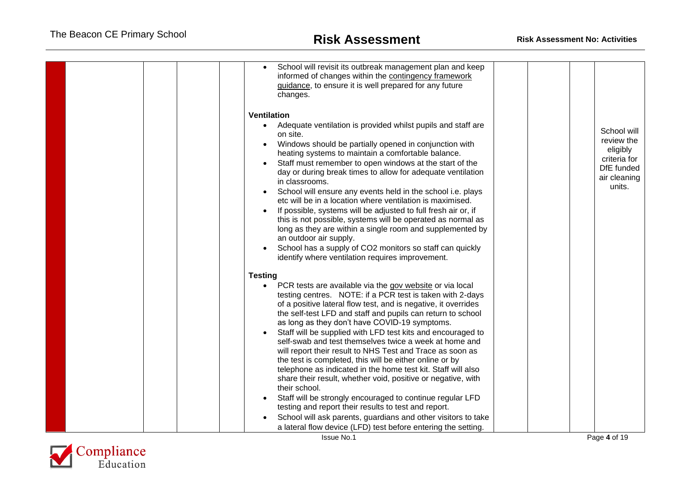| School will revisit its outbreak management plan and keep<br>informed of changes within the contingency framework<br>guidance, to ensure it is well prepared for any future<br>changes.                                                                                                                                                                                                                                                                                                                                                                                                                                                                                                                                                                                                                                                     |  |                                                                                               |
|---------------------------------------------------------------------------------------------------------------------------------------------------------------------------------------------------------------------------------------------------------------------------------------------------------------------------------------------------------------------------------------------------------------------------------------------------------------------------------------------------------------------------------------------------------------------------------------------------------------------------------------------------------------------------------------------------------------------------------------------------------------------------------------------------------------------------------------------|--|-----------------------------------------------------------------------------------------------|
| <b>Ventilation</b><br>Adequate ventilation is provided whilst pupils and staff are<br>$\bullet$<br>on site.<br>Windows should be partially opened in conjunction with<br>heating systems to maintain a comfortable balance.<br>Staff must remember to open windows at the start of the<br>day or during break times to allow for adequate ventilation<br>in classrooms.<br>School will ensure any events held in the school i.e. plays<br>etc will be in a location where ventilation is maximised.<br>If possible, systems will be adjusted to full fresh air or, if<br>this is not possible, systems will be operated as normal as<br>long as they are within a single room and supplemented by<br>an outdoor air supply.<br>School has a supply of CO2 monitors so staff can quickly<br>identify where ventilation requires improvement. |  | School will<br>review the<br>eligibly<br>criteria for<br>DfE funded<br>air cleaning<br>units. |
| <b>Testing</b>                                                                                                                                                                                                                                                                                                                                                                                                                                                                                                                                                                                                                                                                                                                                                                                                                              |  |                                                                                               |
| PCR tests are available via the gov website or via local<br>$\bullet$<br>testing centres. NOTE: if a PCR test is taken with 2-days<br>of a positive lateral flow test, and is negative, it overrides<br>the self-test LFD and staff and pupils can return to school<br>as long as they don't have COVID-19 symptoms.<br>Staff will be supplied with LFD test kits and encouraged to<br>self-swab and test themselves twice a week at home and<br>will report their result to NHS Test and Trace as soon as<br>the test is completed, this will be either online or by<br>telephone as indicated in the home test kit. Staff will also<br>share their result, whether void, positive or negative, with<br>their school.                                                                                                                      |  |                                                                                               |
| Staff will be strongly encouraged to continue regular LFD<br>testing and report their results to test and report.                                                                                                                                                                                                                                                                                                                                                                                                                                                                                                                                                                                                                                                                                                                           |  |                                                                                               |
| School will ask parents, guardians and other visitors to take                                                                                                                                                                                                                                                                                                                                                                                                                                                                                                                                                                                                                                                                                                                                                                               |  |                                                                                               |
| a lateral flow device (LFD) test before entering the setting.                                                                                                                                                                                                                                                                                                                                                                                                                                                                                                                                                                                                                                                                                                                                                                               |  |                                                                                               |

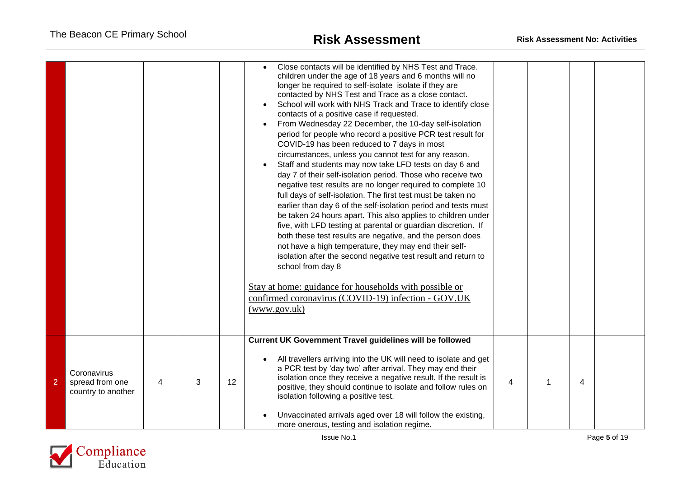|                |                                                      |   |   |    | Close contacts will be identified by NHS Test and Trace.<br>children under the age of 18 years and 6 months will no<br>longer be required to self-isolate isolate if they are<br>contacted by NHS Test and Trace as a close contact.<br>School will work with NHS Track and Trace to identify close<br>contacts of a positive case if requested.<br>From Wednesday 22 December, the 10-day self-isolation<br>period for people who record a positive PCR test result for<br>COVID-19 has been reduced to 7 days in most<br>circumstances, unless you cannot test for any reason.<br>Staff and students may now take LFD tests on day 6 and<br>day 7 of their self-isolation period. Those who receive two<br>negative test results are no longer required to complete 10<br>full days of self-isolation. The first test must be taken no<br>earlier than day 6 of the self-isolation period and tests must<br>be taken 24 hours apart. This also applies to children under<br>five, with LFD testing at parental or guardian discretion. If<br>both these test results are negative, and the person does<br>not have a high temperature, they may end their self-<br>isolation after the second negative test result and return to<br>school from day 8<br>Stay at home: guidance for households with possible or<br>confirmed coronavirus (COVID-19) infection - GOV.UK<br>(www.gov.uk) |                |   |  |
|----------------|------------------------------------------------------|---|---|----|------------------------------------------------------------------------------------------------------------------------------------------------------------------------------------------------------------------------------------------------------------------------------------------------------------------------------------------------------------------------------------------------------------------------------------------------------------------------------------------------------------------------------------------------------------------------------------------------------------------------------------------------------------------------------------------------------------------------------------------------------------------------------------------------------------------------------------------------------------------------------------------------------------------------------------------------------------------------------------------------------------------------------------------------------------------------------------------------------------------------------------------------------------------------------------------------------------------------------------------------------------------------------------------------------------------------------------------------------------------------------------------|----------------|---|--|
| $\overline{2}$ | Coronavirus<br>spread from one<br>country to another | 4 | 3 | 12 | Current UK Government Travel guidelines will be followed<br>All travellers arriving into the UK will need to isolate and get<br>a PCR test by 'day two' after arrival. They may end their<br>isolation once they receive a negative result. If the result is<br>positive, they should continue to isolate and follow rules on<br>isolation following a positive test.<br>Unvaccinated arrivals aged over 18 will follow the existing,<br>more onerous, testing and isolation regime.                                                                                                                                                                                                                                                                                                                                                                                                                                                                                                                                                                                                                                                                                                                                                                                                                                                                                                     | $\overline{4}$ | 4 |  |

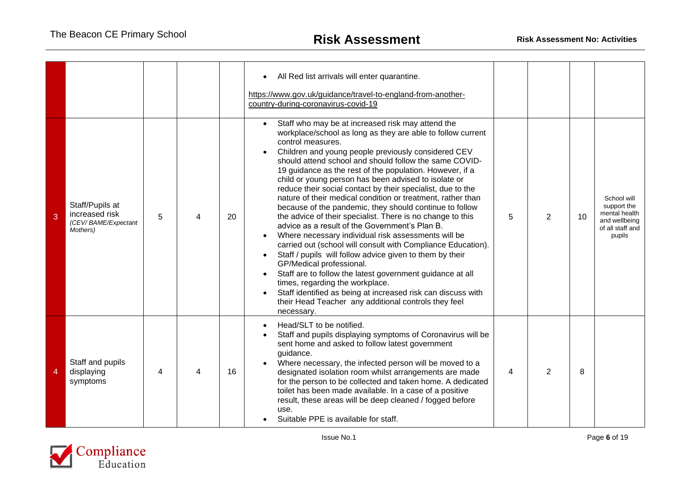|   |                                                                      |   |   |    | All Red list arrivals will enter quarantine.<br>https://www.gov.uk/guidance/travel-to-england-from-another-<br>country-during-coronavirus-covid-19                                                                                                                                                                                                                                                                                                                                                                                                                                                                                                                                                                                                                                                                                                                                                                                                                                                                                                                                                                                       |   |   |    |                                                                                            |
|---|----------------------------------------------------------------------|---|---|----|------------------------------------------------------------------------------------------------------------------------------------------------------------------------------------------------------------------------------------------------------------------------------------------------------------------------------------------------------------------------------------------------------------------------------------------------------------------------------------------------------------------------------------------------------------------------------------------------------------------------------------------------------------------------------------------------------------------------------------------------------------------------------------------------------------------------------------------------------------------------------------------------------------------------------------------------------------------------------------------------------------------------------------------------------------------------------------------------------------------------------------------|---|---|----|--------------------------------------------------------------------------------------------|
| 3 | Staff/Pupils at<br>increased risk<br>(CEV/BAME/Expectant<br>Mothers) | 5 | Δ | 20 | Staff who may be at increased risk may attend the<br>workplace/school as long as they are able to follow current<br>control measures.<br>Children and young people previously considered CEV<br>should attend school and should follow the same COVID-<br>19 guidance as the rest of the population. However, if a<br>child or young person has been advised to isolate or<br>reduce their social contact by their specialist, due to the<br>nature of their medical condition or treatment, rather than<br>because of the pandemic, they should continue to follow<br>the advice of their specialist. There is no change to this<br>advice as a result of the Government's Plan B.<br>Where necessary individual risk assessments will be<br>carried out (school will consult with Compliance Education).<br>Staff / pupils will follow advice given to them by their<br>GP/Medical professional.<br>Staff are to follow the latest government guidance at all<br>times, regarding the workplace.<br>Staff identified as being at increased risk can discuss with<br>their Head Teacher any additional controls they feel<br>necessary. | 5 | 2 | 10 | School will<br>support the<br>mental health<br>and wellbeing<br>of all staff and<br>pupils |
| 4 | Staff and pupils<br>displaying<br>symptoms                           | 4 | 4 | 16 | Head/SLT to be notified.<br>Staff and pupils displaying symptoms of Coronavirus will be<br>sent home and asked to follow latest government<br>guidance.<br>Where necessary, the infected person will be moved to a<br>designated isolation room whilst arrangements are made<br>for the person to be collected and taken home. A dedicated<br>toilet has been made available. In a case of a positive<br>result, these areas will be deep cleaned / fogged before<br>use.<br>Suitable PPE is available for staff.                                                                                                                                                                                                                                                                                                                                                                                                                                                                                                                                                                                                                        | 4 | 2 | 8  |                                                                                            |

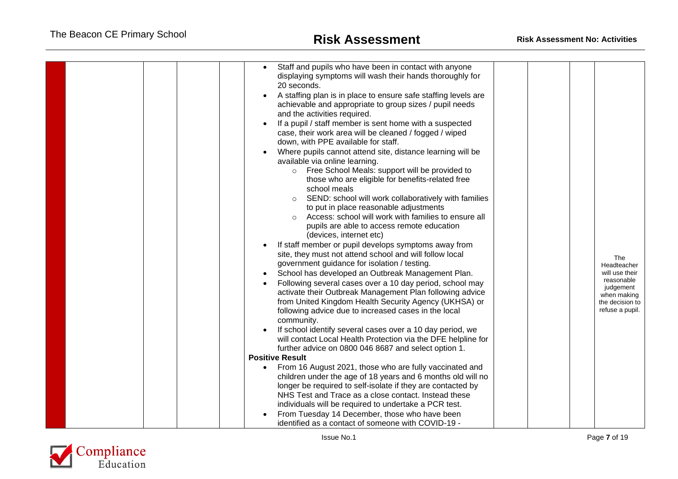| Staff and pupils who have been in contact with anyone<br>displaying symptoms will wash their hands thoroughly for<br>20 seconds.<br>A staffing plan is in place to ensure safe staffing levels are<br>achievable and appropriate to group sizes / pupil needs<br>and the activities required.<br>If a pupil / staff member is sent home with a suspected<br>case, their work area will be cleaned / fogged / wiped<br>down, with PPE available for staff.<br>Where pupils cannot attend site, distance learning will be<br>available via online learning.<br>o Free School Meals: support will be provided to<br>those who are eligible for benefits-related free<br>school meals<br>SEND: school will work collaboratively with families<br>$\circ$<br>to put in place reasonable adjustments<br>Access: school will work with families to ensure all<br>$\Omega$<br>pupils are able to access remote education<br>(devices, internet etc)<br>If staff member or pupil develops symptoms away from<br>site, they must not attend school and will follow local<br>government guidance for isolation / testing.<br>School has developed an Outbreak Management Plan.<br>Following several cases over a 10 day period, school may<br>activate their Outbreak Management Plan following advice<br>from United Kingdom Health Security Agency (UKHSA) or<br>following advice due to increased cases in the local<br>community.<br>If school identify several cases over a 10 day period, we<br>will contact Local Health Protection via the DFE helpline for<br>further advice on 0800 046 8687 and select option 1.<br><b>Positive Result</b><br>From 16 August 2021, those who are fully vaccinated and<br>$\bullet$<br>children under the age of 18 years and 6 months old will no | The<br>Headteacher<br>will use their<br>reasonable<br>judgement<br>when making<br>the decision to<br>refuse a pupil. |
|-----------------------------------------------------------------------------------------------------------------------------------------------------------------------------------------------------------------------------------------------------------------------------------------------------------------------------------------------------------------------------------------------------------------------------------------------------------------------------------------------------------------------------------------------------------------------------------------------------------------------------------------------------------------------------------------------------------------------------------------------------------------------------------------------------------------------------------------------------------------------------------------------------------------------------------------------------------------------------------------------------------------------------------------------------------------------------------------------------------------------------------------------------------------------------------------------------------------------------------------------------------------------------------------------------------------------------------------------------------------------------------------------------------------------------------------------------------------------------------------------------------------------------------------------------------------------------------------------------------------------------------------------------------------------------------------------------------------------------------------------------------------------------------|----------------------------------------------------------------------------------------------------------------------|
|                                                                                                                                                                                                                                                                                                                                                                                                                                                                                                                                                                                                                                                                                                                                                                                                                                                                                                                                                                                                                                                                                                                                                                                                                                                                                                                                                                                                                                                                                                                                                                                                                                                                                                                                                                                   |                                                                                                                      |
|                                                                                                                                                                                                                                                                                                                                                                                                                                                                                                                                                                                                                                                                                                                                                                                                                                                                                                                                                                                                                                                                                                                                                                                                                                                                                                                                                                                                                                                                                                                                                                                                                                                                                                                                                                                   |                                                                                                                      |
|                                                                                                                                                                                                                                                                                                                                                                                                                                                                                                                                                                                                                                                                                                                                                                                                                                                                                                                                                                                                                                                                                                                                                                                                                                                                                                                                                                                                                                                                                                                                                                                                                                                                                                                                                                                   |                                                                                                                      |
|                                                                                                                                                                                                                                                                                                                                                                                                                                                                                                                                                                                                                                                                                                                                                                                                                                                                                                                                                                                                                                                                                                                                                                                                                                                                                                                                                                                                                                                                                                                                                                                                                                                                                                                                                                                   |                                                                                                                      |
| longer be required to self-isolate if they are contacted by                                                                                                                                                                                                                                                                                                                                                                                                                                                                                                                                                                                                                                                                                                                                                                                                                                                                                                                                                                                                                                                                                                                                                                                                                                                                                                                                                                                                                                                                                                                                                                                                                                                                                                                       |                                                                                                                      |
| NHS Test and Trace as a close contact. Instead these                                                                                                                                                                                                                                                                                                                                                                                                                                                                                                                                                                                                                                                                                                                                                                                                                                                                                                                                                                                                                                                                                                                                                                                                                                                                                                                                                                                                                                                                                                                                                                                                                                                                                                                              |                                                                                                                      |
| individuals will be required to undertake a PCR test.                                                                                                                                                                                                                                                                                                                                                                                                                                                                                                                                                                                                                                                                                                                                                                                                                                                                                                                                                                                                                                                                                                                                                                                                                                                                                                                                                                                                                                                                                                                                                                                                                                                                                                                             |                                                                                                                      |
| From Tuesday 14 December, those who have been                                                                                                                                                                                                                                                                                                                                                                                                                                                                                                                                                                                                                                                                                                                                                                                                                                                                                                                                                                                                                                                                                                                                                                                                                                                                                                                                                                                                                                                                                                                                                                                                                                                                                                                                     |                                                                                                                      |
| identified as a contact of someone with COVID-19 -                                                                                                                                                                                                                                                                                                                                                                                                                                                                                                                                                                                                                                                                                                                                                                                                                                                                                                                                                                                                                                                                                                                                                                                                                                                                                                                                                                                                                                                                                                                                                                                                                                                                                                                                |                                                                                                                      |

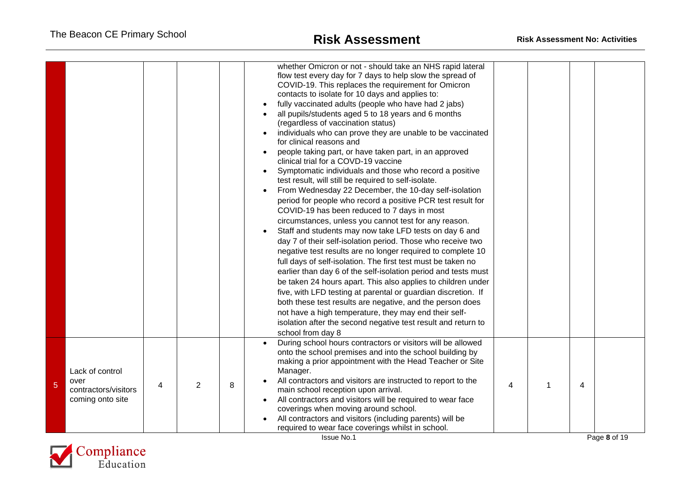|                |                                                                     |   |                |   | whether Omicron or not - should take an NHS rapid lateral<br>flow test every day for 7 days to help slow the spread of<br>COVID-19. This replaces the requirement for Omicron<br>contacts to isolate for 10 days and applies to:<br>fully vaccinated adults (people who have had 2 jabs)<br>all pupils/students aged 5 to 18 years and 6 months<br>(regardless of vaccination status)<br>individuals who can prove they are unable to be vaccinated<br>for clinical reasons and<br>people taking part, or have taken part, in an approved<br>clinical trial for a COVD-19 vaccine<br>Symptomatic individuals and those who record a positive<br>test result, will still be required to self-isolate.<br>From Wednesday 22 December, the 10-day self-isolation<br>period for people who record a positive PCR test result for<br>COVID-19 has been reduced to 7 days in most<br>circumstances, unless you cannot test for any reason.<br>Staff and students may now take LFD tests on day 6 and<br>day 7 of their self-isolation period. Those who receive two<br>negative test results are no longer required to complete 10<br>full days of self-isolation. The first test must be taken no<br>earlier than day 6 of the self-isolation period and tests must<br>be taken 24 hours apart. This also applies to children under<br>five, with LFD testing at parental or guardian discretion. If<br>both these test results are negative, and the person does<br>not have a high temperature, they may end their self-<br>isolation after the second negative test result and return to<br>school from day 8 |   |   |              |
|----------------|---------------------------------------------------------------------|---|----------------|---|-------------------------------------------------------------------------------------------------------------------------------------------------------------------------------------------------------------------------------------------------------------------------------------------------------------------------------------------------------------------------------------------------------------------------------------------------------------------------------------------------------------------------------------------------------------------------------------------------------------------------------------------------------------------------------------------------------------------------------------------------------------------------------------------------------------------------------------------------------------------------------------------------------------------------------------------------------------------------------------------------------------------------------------------------------------------------------------------------------------------------------------------------------------------------------------------------------------------------------------------------------------------------------------------------------------------------------------------------------------------------------------------------------------------------------------------------------------------------------------------------------------------------------------------------------------------------------------------------------------|---|---|--------------|
| $\overline{5}$ | Lack of control<br>over<br>contractors/visitors<br>coming onto site | 4 | $\overline{2}$ | 8 | During school hours contractors or visitors will be allowed<br>onto the school premises and into the school building by<br>making a prior appointment with the Head Teacher or Site<br>Manager.<br>All contractors and visitors are instructed to report to the<br>main school reception upon arrival.<br>All contractors and visitors will be required to wear face<br>coverings when moving around school.<br>All contractors and visitors (including parents) will be<br>required to wear face coverings whilst in school.<br><b>Issue No.1</b>                                                                                                                                                                                                                                                                                                                                                                                                                                                                                                                                                                                                                                                                                                                                                                                                                                                                                                                                                                                                                                                          | 4 | 4 | Page 8 of 19 |

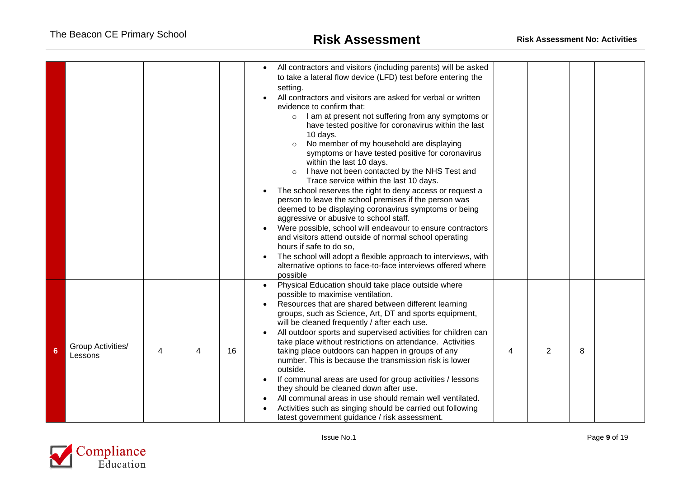|   |                              |   |    | All contractors and visitors (including parents) will be asked<br>$\bullet$<br>to take a lateral flow device (LFD) test before entering the<br>setting.<br>All contractors and visitors are asked for verbal or written<br>evidence to confirm that:<br>I am at present not suffering from any symptoms or<br>$\circ$<br>have tested positive for coronavirus within the last<br>10 days.<br>No member of my household are displaying<br>symptoms or have tested positive for coronavirus<br>within the last 10 days.<br>I have not been contacted by the NHS Test and<br>$\circ$<br>Trace service within the last 10 days.<br>The school reserves the right to deny access or request a<br>person to leave the school premises if the person was<br>deemed to be displaying coronavirus symptoms or being<br>aggressive or abusive to school staff.<br>Were possible, school will endeavour to ensure contractors<br>and visitors attend outside of normal school operating<br>hours if safe to do so,<br>The school will adopt a flexible approach to interviews, with<br>alternative options to face-to-face interviews offered where<br>possible |   |   |   |  |
|---|------------------------------|---|----|------------------------------------------------------------------------------------------------------------------------------------------------------------------------------------------------------------------------------------------------------------------------------------------------------------------------------------------------------------------------------------------------------------------------------------------------------------------------------------------------------------------------------------------------------------------------------------------------------------------------------------------------------------------------------------------------------------------------------------------------------------------------------------------------------------------------------------------------------------------------------------------------------------------------------------------------------------------------------------------------------------------------------------------------------------------------------------------------------------------------------------------------------|---|---|---|--|
| 6 | Group Activities/<br>Lessons | 4 | 16 | Physical Education should take place outside where<br>possible to maximise ventilation.<br>Resources that are shared between different learning<br>groups, such as Science, Art, DT and sports equipment,<br>will be cleaned frequently / after each use.<br>All outdoor sports and supervised activities for children can<br>take place without restrictions on attendance. Activities<br>taking place outdoors can happen in groups of any<br>number. This is because the transmission risk is lower<br>outside.<br>If communal areas are used for group activities / lessons<br>they should be cleaned down after use.<br>All communal areas in use should remain well ventilated.<br>Activities such as singing should be carried out following<br>latest government guidance / risk assessment.                                                                                                                                                                                                                                                                                                                                                 | 4 | 2 | 8 |  |

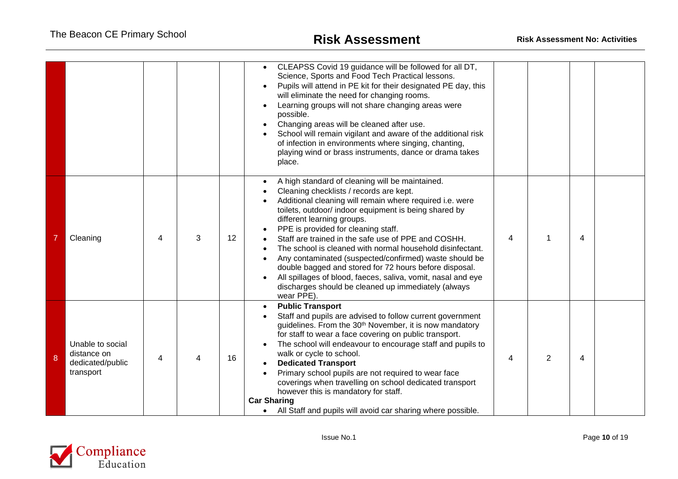|   |                                                                  |   |   |                 | CLEAPSS Covid 19 guidance will be followed for all DT,<br>Science, Sports and Food Tech Practical lessons.<br>Pupils will attend in PE kit for their designated PE day, this<br>will eliminate the need for changing rooms.<br>Learning groups will not share changing areas were<br>possible.<br>Changing areas will be cleaned after use.<br>School will remain vigilant and aware of the additional risk<br>of infection in environments where singing, chanting,<br>playing wind or brass instruments, dance or drama takes<br>place.                                                                                                                         |   |                |   |  |
|---|------------------------------------------------------------------|---|---|-----------------|-------------------------------------------------------------------------------------------------------------------------------------------------------------------------------------------------------------------------------------------------------------------------------------------------------------------------------------------------------------------------------------------------------------------------------------------------------------------------------------------------------------------------------------------------------------------------------------------------------------------------------------------------------------------|---|----------------|---|--|
|   | Cleaning                                                         | 4 | 3 | 12 <sup>2</sup> | A high standard of cleaning will be maintained.<br>Cleaning checklists / records are kept.<br>Additional cleaning will remain where required i.e. were<br>toilets, outdoor/ indoor equipment is being shared by<br>different learning groups.<br>PPE is provided for cleaning staff.<br>Staff are trained in the safe use of PPE and COSHH.<br>The school is cleaned with normal household disinfectant.<br>Any contaminated (suspected/confirmed) waste should be<br>double bagged and stored for 72 hours before disposal.<br>All spillages of blood, faeces, saliva, vomit, nasal and eye<br>discharges should be cleaned up immediately (always<br>wear PPE). | 4 | 1              | 4 |  |
| 8 | Unable to social<br>distance on<br>dedicated/public<br>transport | 4 |   | 16              | <b>Public Transport</b><br>Staff and pupils are advised to follow current government<br>guidelines. From the 30 <sup>th</sup> November, it is now mandatory<br>for staff to wear a face covering on public transport.<br>The school will endeavour to encourage staff and pupils to<br>walk or cycle to school.<br><b>Dedicated Transport</b><br>Primary school pupils are not required to wear face<br>coverings when travelling on school dedicated transport<br>however this is mandatory for staff.<br><b>Car Sharing</b><br>All Staff and pupils will avoid car sharing where possible.                                                                      | 4 | $\overline{2}$ | 4 |  |

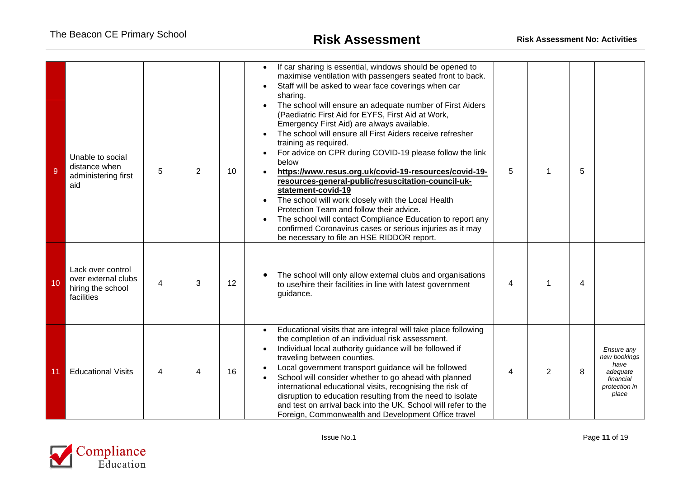| 9  | Unable to social<br>distance when<br>administering first                    | 5 | $\overline{2}$ | 10 <sup>°</sup> | If car sharing is essential, windows should be opened to<br>maximise ventilation with passengers seated front to back.<br>Staff will be asked to wear face coverings when car<br>sharing.<br>The school will ensure an adequate number of First Aiders<br>$\bullet$<br>(Paediatric First Aid for EYFS, First Aid at Work,<br>Emergency First Aid) are always available.<br>The school will ensure all First Aiders receive refresher<br>training as required.<br>For advice on CPR during COVID-19 please follow the link<br>below<br>https://www.resus.org.uk/covid-19-resources/covid-19-    | 5 |   | 5 |                                                                                       |
|----|-----------------------------------------------------------------------------|---|----------------|-----------------|------------------------------------------------------------------------------------------------------------------------------------------------------------------------------------------------------------------------------------------------------------------------------------------------------------------------------------------------------------------------------------------------------------------------------------------------------------------------------------------------------------------------------------------------------------------------------------------------|---|---|---|---------------------------------------------------------------------------------------|
|    | aid                                                                         |   |                |                 | resources-general-public/resuscitation-council-uk-<br>statement-covid-19<br>The school will work closely with the Local Health<br>Protection Team and follow their advice.<br>The school will contact Compliance Education to report any<br>confirmed Coronavirus cases or serious injuries as it may<br>be necessary to file an HSE RIDDOR report.                                                                                                                                                                                                                                            |   |   |   |                                                                                       |
| 10 | Lack over control<br>over external clubs<br>hiring the school<br>facilities | 4 | 3              | 12              | The school will only allow external clubs and organisations<br>to use/hire their facilities in line with latest government<br>guidance.                                                                                                                                                                                                                                                                                                                                                                                                                                                        | 4 | 1 | 4 |                                                                                       |
| 11 | <b>Educational Visits</b>                                                   | 4 |                | 16              | Educational visits that are integral will take place following<br>$\bullet$<br>the completion of an individual risk assessment.<br>Individual local authority guidance will be followed if<br>traveling between counties.<br>Local government transport guidance will be followed<br>School will consider whether to go ahead with planned<br>international educational visits, recognising the risk of<br>disruption to education resulting from the need to isolate<br>and test on arrival back into the UK. School will refer to the<br>Foreign, Commonwealth and Development Office travel | 4 | 2 | 8 | Ensure any<br>new bookings<br>have<br>adequate<br>financial<br>protection in<br>place |

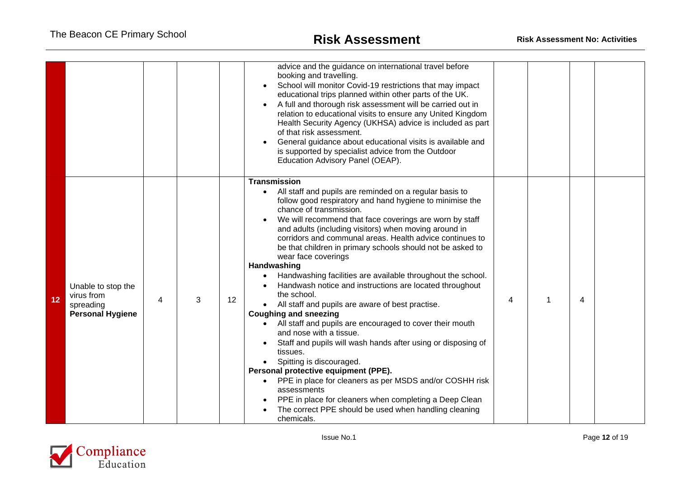|    |                                                                          |   |   |    | advice and the guidance on international travel before<br>booking and travelling.<br>School will monitor Covid-19 restrictions that may impact<br>educational trips planned within other parts of the UK.<br>A full and thorough risk assessment will be carried out in<br>relation to educational visits to ensure any United Kingdom<br>Health Security Agency (UKHSA) advice is included as part<br>of that risk assessment.<br>General guidance about educational visits is available and<br>is supported by specialist advice from the Outdoor<br>Education Advisory Panel (OEAP).                                                                                                                                                                                                                                                                                                                                                                                                                                                                                                                                                               |   |   |   |  |
|----|--------------------------------------------------------------------------|---|---|----|-------------------------------------------------------------------------------------------------------------------------------------------------------------------------------------------------------------------------------------------------------------------------------------------------------------------------------------------------------------------------------------------------------------------------------------------------------------------------------------------------------------------------------------------------------------------------------------------------------------------------------------------------------------------------------------------------------------------------------------------------------------------------------------------------------------------------------------------------------------------------------------------------------------------------------------------------------------------------------------------------------------------------------------------------------------------------------------------------------------------------------------------------------|---|---|---|--|
| 12 | Unable to stop the<br>virus from<br>spreading<br><b>Personal Hygiene</b> | 4 | 3 | 12 | <b>Transmission</b><br>All staff and pupils are reminded on a regular basis to<br>$\bullet$<br>follow good respiratory and hand hygiene to minimise the<br>chance of transmission.<br>We will recommend that face coverings are worn by staff<br>and adults (including visitors) when moving around in<br>corridors and communal areas. Health advice continues to<br>be that children in primary schools should not be asked to<br>wear face coverings<br>Handwashing<br>Handwashing facilities are available throughout the school.<br>Handwash notice and instructions are located throughout<br>the school.<br>All staff and pupils are aware of best practise.<br><b>Coughing and sneezing</b><br>All staff and pupils are encouraged to cover their mouth<br>and nose with a tissue.<br>Staff and pupils will wash hands after using or disposing of<br>tissues.<br>Spitting is discouraged.<br>Personal protective equipment (PPE).<br>PPE in place for cleaners as per MSDS and/or COSHH risk<br>assessments<br>PPE in place for cleaners when completing a Deep Clean<br>The correct PPE should be used when handling cleaning<br>chemicals. | 4 | 1 | 4 |  |

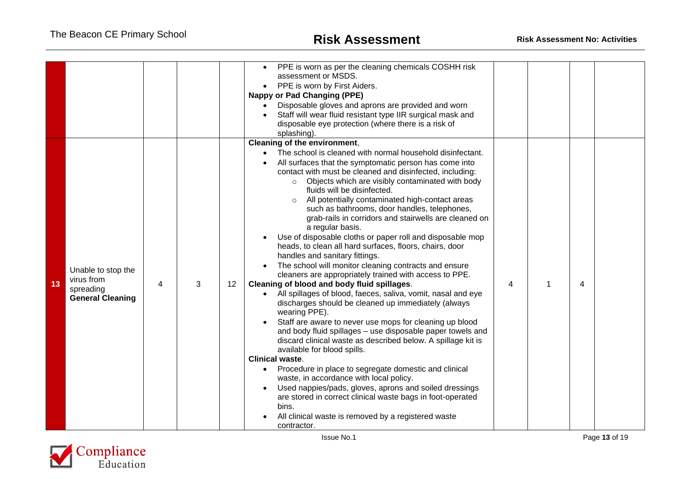|    |                                                                          |   |   |    | PPE is worn as per the cleaning chemicals COSHH risk<br>assessment or MSDS.<br>PPE is worn by First Aiders.<br><b>Nappy or Pad Changing (PPE)</b><br>Disposable gloves and aprons are provided and worn<br>Staff will wear fluid resistant type IIR surgical mask and<br>disposable eye protection (where there is a risk of<br>splashing).                                                                                                                                                                                                                                                                                                                                                                                                                                                                                                                                                                                                                                                                                                                                                                                                                                                                                                                                                                                                                                                                                                                                                                                                              |   |   |   |  |
|----|--------------------------------------------------------------------------|---|---|----|----------------------------------------------------------------------------------------------------------------------------------------------------------------------------------------------------------------------------------------------------------------------------------------------------------------------------------------------------------------------------------------------------------------------------------------------------------------------------------------------------------------------------------------------------------------------------------------------------------------------------------------------------------------------------------------------------------------------------------------------------------------------------------------------------------------------------------------------------------------------------------------------------------------------------------------------------------------------------------------------------------------------------------------------------------------------------------------------------------------------------------------------------------------------------------------------------------------------------------------------------------------------------------------------------------------------------------------------------------------------------------------------------------------------------------------------------------------------------------------------------------------------------------------------------------|---|---|---|--|
| 13 | Unable to stop the<br>virus from<br>spreading<br><b>General Cleaning</b> | 4 | 3 | 12 | Cleaning of the environment,<br>The school is cleaned with normal household disinfectant.<br>All surfaces that the symptomatic person has come into<br>contact with must be cleaned and disinfected, including:<br>Objects which are visibly contaminated with body<br>$\circ$<br>fluids will be disinfected.<br>All potentially contaminated high-contact areas<br>such as bathrooms, door handles, telephones,<br>grab-rails in corridors and stairwells are cleaned on<br>a regular basis.<br>Use of disposable cloths or paper roll and disposable mop<br>heads, to clean all hard surfaces, floors, chairs, door<br>handles and sanitary fittings.<br>The school will monitor cleaning contracts and ensure<br>cleaners are appropriately trained with access to PPE.<br>Cleaning of blood and body fluid spillages.<br>All spillages of blood, faeces, saliva, vomit, nasal and eye<br>$\bullet$<br>discharges should be cleaned up immediately (always<br>wearing PPE).<br>Staff are aware to never use mops for cleaning up blood<br>and body fluid spillages - use disposable paper towels and<br>discard clinical waste as described below. A spillage kit is<br>available for blood spills.<br><b>Clinical waste.</b><br>Procedure in place to segregate domestic and clinical<br>$\bullet$<br>waste, in accordance with local policy.<br>Used nappies/pads, gloves, aprons and soiled dressings<br>are stored in correct clinical waste bags in foot-operated<br>bins.<br>All clinical waste is removed by a registered waste<br>contractor. | 4 | 1 | 4 |  |

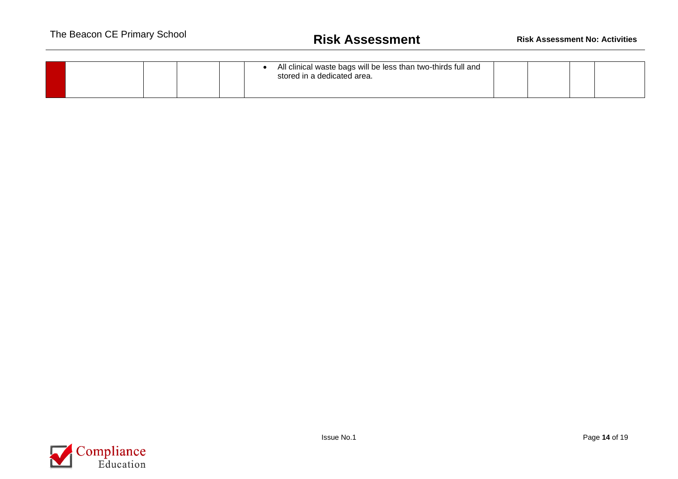|  | All clinical waste bags will be less than two-thirds full and<br>stored in a dedicated area. |  |  |
|--|----------------------------------------------------------------------------------------------|--|--|
|--|----------------------------------------------------------------------------------------------|--|--|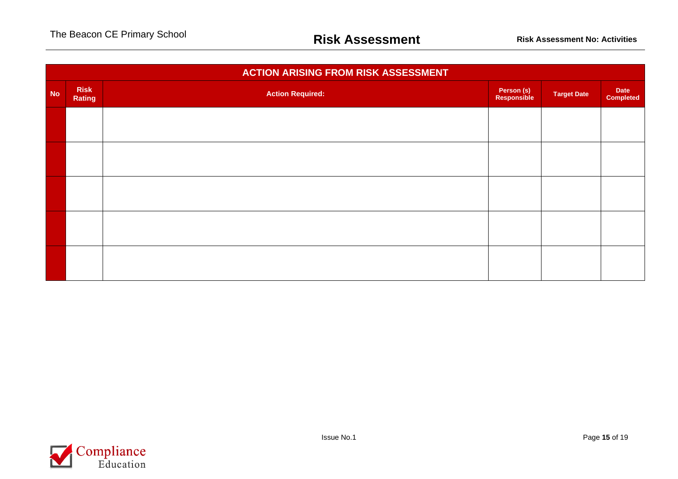|           | <b>ACTION ARISING FROM RISK ASSESSMENT</b> |                         |                           |                    |                          |  |  |  |  |  |  |
|-----------|--------------------------------------------|-------------------------|---------------------------|--------------------|--------------------------|--|--|--|--|--|--|
| <b>No</b> | <b>Risk</b><br>Rating                      | <b>Action Required:</b> | Person (s)<br>Responsible | <b>Target Date</b> | Date<br><b>Completed</b> |  |  |  |  |  |  |
|           |                                            |                         |                           |                    |                          |  |  |  |  |  |  |
|           |                                            |                         |                           |                    |                          |  |  |  |  |  |  |
|           |                                            |                         |                           |                    |                          |  |  |  |  |  |  |
|           |                                            |                         |                           |                    |                          |  |  |  |  |  |  |
|           |                                            |                         |                           |                    |                          |  |  |  |  |  |  |
|           |                                            |                         |                           |                    |                          |  |  |  |  |  |  |

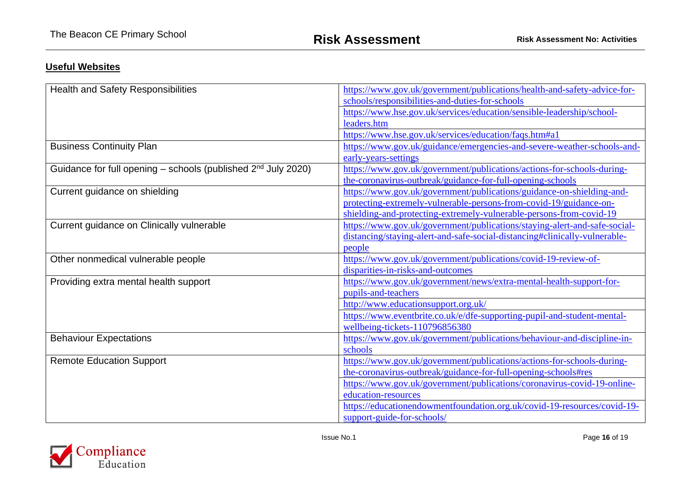## **Useful Websites**

| https://www.gov.uk/government/publications/health-and-safety-advice-for-   |
|----------------------------------------------------------------------------|
| schools/responsibilities-and-duties-for-schools                            |
|                                                                            |
| https://www.hse.gov.uk/services/education/sensible-leadership/school-      |
| leaders.htm                                                                |
| https://www.hse.gov.uk/services/education/faqs.htm#a1                      |
| https://www.gov.uk/guidance/emergencies-and-severe-weather-schools-and-    |
| early-years-settings                                                       |
| https://www.gov.uk/government/publications/actions-for-schools-during-     |
| the-coronavirus-outbreak/guidance-for-full-opening-schools                 |
| https://www.gov.uk/government/publications/guidance-on-shielding-and-      |
| protecting-extremely-vulnerable-persons-from-covid-19/guidance-on-         |
| shielding-and-protecting-extremely-vulnerable-persons-from-covid-19        |
| https://www.gov.uk/government/publications/staying-alert-and-safe-social-  |
| distancing/staying-alert-and-safe-social-distancing#clinically-vulnerable- |
| people                                                                     |
| https://www.gov.uk/government/publications/covid-19-review-of-             |
| disparities-in-risks-and-outcomes                                          |
| https://www.gov.uk/government/news/extra-mental-health-support-for-        |
| pupils-and-teachers                                                        |
| http://www.educationsupport.org.uk/                                        |
| https://www.eventbrite.co.uk/e/dfe-supporting-pupil-and-student-mental-    |
| wellbeing-tickets-110796856380                                             |
| https://www.gov.uk/government/publications/behaviour-and-discipline-in-    |
| schools                                                                    |
| https://www.gov.uk/government/publications/actions-for-schools-during-     |
| the-coronavirus-outbreak/guidance-for-full-opening-schools#res             |
| https://www.gov.uk/government/publications/coronavirus-covid-19-online-    |
| education-resources                                                        |
| https://educationendowmentfoundation.org.uk/covid-19-resources/covid-19-   |
| support-guide-for-schools/                                                 |
|                                                                            |

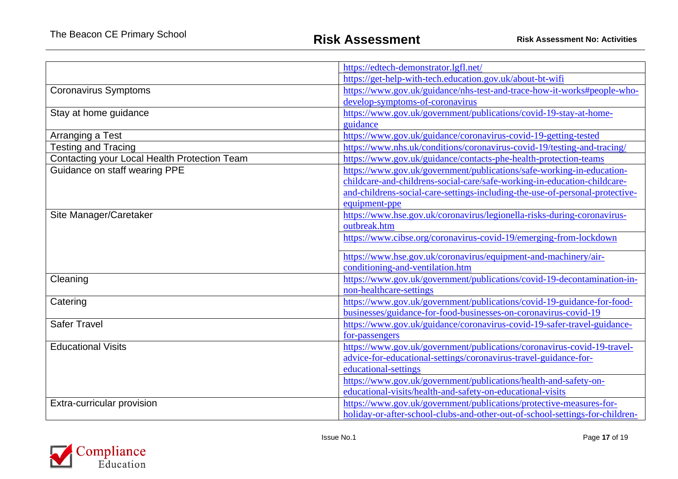|                                              | https://edtech-demonstrator.lgfl.net/                                        |
|----------------------------------------------|------------------------------------------------------------------------------|
|                                              | https://get-help-with-tech.education.gov.uk/about-bt-wifi                    |
| <b>Coronavirus Symptoms</b>                  | https://www.gov.uk/guidance/nhs-test-and-trace-how-it-works#people-who-      |
|                                              | develop-symptoms-of-coronavirus                                              |
| Stay at home guidance                        | https://www.gov.uk/government/publications/covid-19-stay-at-home-            |
|                                              | guidance                                                                     |
| Arranging a Test                             | https://www.gov.uk/guidance/coronavirus-covid-19-getting-tested              |
| <b>Testing and Tracing</b>                   | https://www.nhs.uk/conditions/coronavirus-covid-19/testing-and-tracing/      |
| Contacting your Local Health Protection Team | https://www.gov.uk/guidance/contacts-phe-health-protection-teams             |
| Guidance on staff wearing PPE                | https://www.gov.uk/government/publications/safe-working-in-education-        |
|                                              | childcare-and-childrens-social-care/safe-working-in-education-childcare-     |
|                                              | and-childrens-social-care-settings-including-the-use-of-personal-protective- |
|                                              | equipment-ppe                                                                |
| Site Manager/Caretaker                       | https://www.hse.gov.uk/coronavirus/legionella-risks-during-coronavirus-      |
|                                              | outbreak.htm                                                                 |
|                                              | https://www.cibse.org/coronavirus-covid-19/emerging-from-lockdown            |
|                                              | https://www.hse.gov.uk/coronavirus/equipment-and-machinery/air-              |
|                                              | conditioning-and-ventilation.htm                                             |
| Cleaning                                     | https://www.gov.uk/government/publications/covid-19-decontamination-in-      |
|                                              | non-healthcare-settings                                                      |
| Catering                                     | https://www.gov.uk/government/publications/covid-19-guidance-for-food-       |
|                                              | businesses/guidance-for-food-businesses-on-coronavirus-covid-19              |
| <b>Safer Travel</b>                          | https://www.gov.uk/guidance/coronavirus-covid-19-safer-travel-guidance-      |
|                                              | for-passengers                                                               |
| <b>Educational Visits</b>                    | https://www.gov.uk/government/publications/coronavirus-covid-19-travel-      |
|                                              | advice-for-educational-settings/coronavirus-travel-guidance-for-             |
|                                              | educational-settings                                                         |
|                                              | https://www.gov.uk/government/publications/health-and-safety-on-             |
|                                              | educational-visits/health-and-safety-on-educational-visits                   |
| Extra-curricular provision                   | https://www.gov.uk/government/publications/protective-measures-for-          |
|                                              | holiday-or-after-school-clubs-and-other-out-of-school-settings-for-children- |

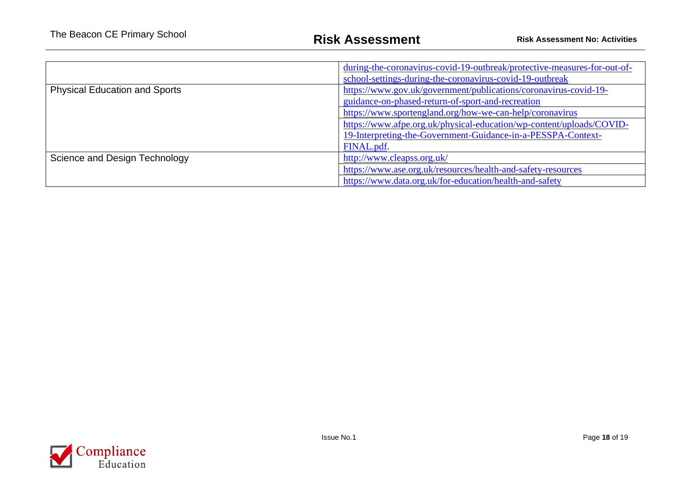|                                      | during-the-coronavirus-covid-19-outbreak/protective-measures-for-out-of-<br>school-settings-during-the-coronavirus-covid-19-outbreak |  |  |
|--------------------------------------|--------------------------------------------------------------------------------------------------------------------------------------|--|--|
| <b>Physical Education and Sports</b> | https://www.gov.uk/government/publications/coronavirus-covid-19-<br>guidance-on-phased-return-of-sport-and-recreation                |  |  |
|                                      | https://www.sportengland.org/how-we-can-help/coronavirus                                                                             |  |  |
|                                      | https://www.afpe.org.uk/physical-education/wp-content/uploads/COVID-<br>19-Interpreting-the-Government-Guidance-in-a-PESSPA-Context- |  |  |
|                                      | FINAL.pdf.                                                                                                                           |  |  |
| Science and Design Technology        | http://www.cleapss.org.uk/                                                                                                           |  |  |
|                                      | https://www.ase.org.uk/resources/health-and-safety-resources                                                                         |  |  |
|                                      | https://www.data.org.uk/for-education/health-and-safety                                                                              |  |  |